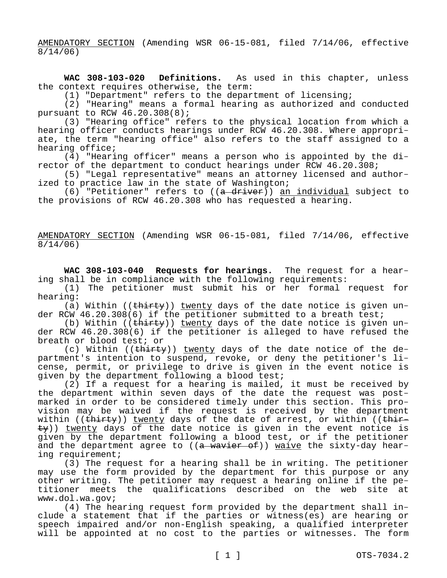AMENDATORY SECTION (Amending WSR 06-15-081, filed 7/14/06, effective 8/14/06)

**WAC 308-103-020 Definitions.** As used in this chapter, unless the context requires otherwise, the term:

(1) "Department" refers to the department of licensing;

(2) "Hearing" means a formal hearing as authorized and conducted pursuant to RCW 46.20.308(8);

(3) "Hearing office" refers to the physical location from which a hearing officer conducts hearings under RCW 46.20.308. Where appropriate, the term "hearing office" also refers to the staff assigned to a hearing office;

(4) "Hearing officer" means a person who is appointed by the director of the department to conduct hearings under RCW 46.20.308;

(5) "Legal representative" means an attorney licensed and authorized to practice law in the state of Washington;

(6) "Petitioner" refers to  $((a - d)$ river)) an individual subject to the provisions of RCW 46.20.308 who has requested a hearing.

AMENDATORY SECTION (Amending WSR 06-15-081, filed 7/14/06, effective 8/14/06)

**WAC 308-103-040 Requests for hearings.** The request for a hearing shall be in compliance with the following requirements:

(1) The petitioner must submit his or her formal request for hearing:

(a) Within (( $\frac{t}{t}$ )) twenty days of the date notice is given under RCW 46.20.308(6) if the petitioner submitted to a breath test;

(b) Within (( $\frac{thity}{}$ )) twenty days of the date notice is given under RCW 46.20.308(6) if the petitioner is alleged to have refused the breath or blood test; or

(c) Within ((thirty)) twenty days of the date notice of the department's intention to suspend, revoke, or deny the petitioner's license, permit, or privilege to drive is given in the event notice is given by the department following a blood test;

(2) If a request for a hearing is mailed, it must be received by the department within seven days of the date the request was postmarked in order to be considered timely under this section. This provision may be waived if the request is received by the department within (( $\overline{thirey}$ )) twenty days of the date of arrest, or within (( $\overline{thire}$  $\pm y$ )) twenty days of the date notice is given in the event notice is given by the department following a blood test, or if the petitioner and the department agree to ((a wavier of)) waive the sixty-day hearing requirement;

(3) The request for a hearing shall be in writing. The petitioner may use the form provided by the department for this purpose or any other writing. The petitioner may request a hearing online if the petitioner meets the qualifications described on the web site at www.dol.wa.gov;

(4) The hearing request form provided by the department shall include a statement that if the parties or witness(es) are hearing or speech impaired and/or non-English speaking, a qualified interpreter will be appointed at no cost to the parties or witnesses. The form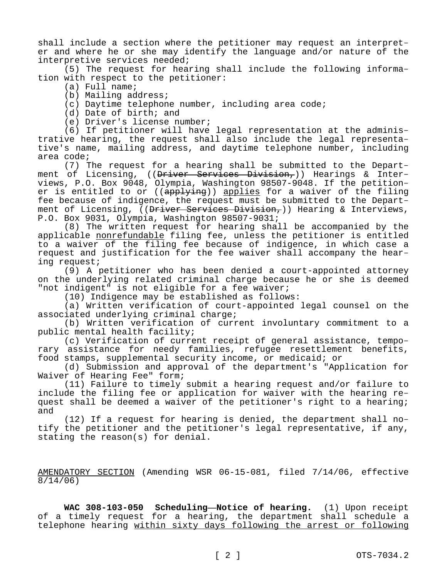shall include a section where the petitioner may request an interpreter and where he or she may identify the language and/or nature of the interpretive services needed;

(5) The request for hearing shall include the following information with respect to the petitioner:

- (a) Full name;
- (b) Mailing address;
- (c) Daytime telephone number, including area code;
- (d) Date of birth; and
- (e) Driver's license number;

(6) If petitioner will have legal representation at the administrative hearing, the request shall also include the legal representative's name, mailing address, and daytime telephone number, including area code;

(7) The request for a hearing shall be submitted to the Department of Licensing, ((Driver Services Division,)) Hearings & Interviews, P.O. Box 9048, Olympia, Washington 98507-9048. If the petitioner is entitled to or ((applying)) applies for a waiver of the filing fee because of indigence, the request must be submitted to the Department of Licensing, ((Driver Services Division,)) Hearing & Interviews, P.O. Box 9031, Olympia, Washington 98507-9031;

(8) The written request for hearing shall be accompanied by the applicable nonrefundable filing fee, unless the petitioner is entitled to a waiver of the filing fee because of indigence, in which case a request and justification for the fee waiver shall accompany the hearing request;

(9) A petitioner who has been denied a court-appointed attorney on the underlying related criminal charge because he or she is deemed "not indigent" is not eligible for a fee waiver;

(10) Indigence may be established as follows:

(a) Written verification of court-appointed legal counsel on the associated underlying criminal charge;

(b) Written verification of current involuntary commitment to a public mental health facility;

(c) Verification of current receipt of general assistance, temporary assistance for needy families, refugee resettlement benefits, food stamps, supplemental security income, or medicaid; or

(d) Submission and approval of the department's "Application for Waiver of Hearing Fee" form;

(11) Failure to timely submit a hearing request and/or failure to include the filing fee or application for waiver with the hearing request shall be deemed a waiver of the petitioner's right to a hearing; and

(12) If a request for hearing is denied, the department shall notify the petitioner and the petitioner's legal representative, if any, stating the reason(s) for denial.

AMENDATORY SECTION (Amending WSR 06-15-081, filed 7/14/06, effective 8/14/06)

**WAC 308-103-050 Scheduling—Notice of hearing.** (1) Upon receipt of a timely request for a hearing, the department shall schedule a telephone hearing within sixty days following the arrest or following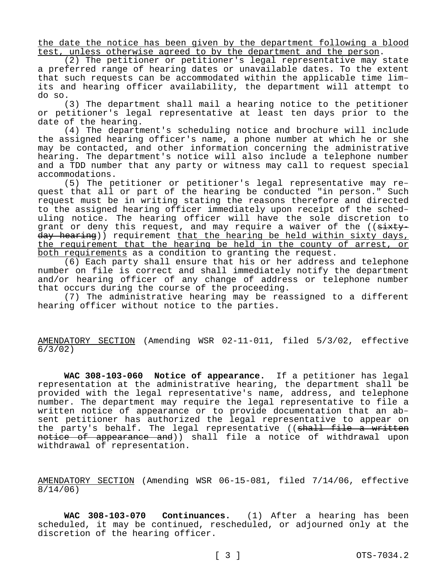the date the notice has been given by the department following a blood test, unless otherwise agreed to by the department and the person.

(2) The petitioner or petitioner's legal representative may state a preferred range of hearing dates or unavailable dates. To the extent that such requests can be accommodated within the applicable time limits and hearing officer availability, the department will attempt to do so.

(3) The department shall mail a hearing notice to the petitioner or petitioner's legal representative at least ten days prior to the date of the hearing.

(4) The department's scheduling notice and brochure will include the assigned hearing officer's name, a phone number at which he or she may be contacted, and other information concerning the administrative hearing. The department's notice will also include a telephone number and a TDD number that any party or witness may call to request special accommodations.

(5) The petitioner or petitioner's legal representative may request that all or part of the hearing be conducted "in person." Such request must be in writing stating the reasons therefore and directed to the assigned hearing officer immediately upon receipt of the scheduling notice. The hearing officer will have the sole discretion to grant or deny this request, and may require a waiver of the ((sixtyday hearing)) requirement that the hearing be held within sixty days, the requirement that the hearing be held in the county of arrest, or both requirements as a condition to granting the request.

(6) Each party shall ensure that his or her address and telephone number on file is correct and shall immediately notify the department and/or hearing officer of any change of address or telephone number that occurs during the course of the proceeding.

(7) The administrative hearing may be reassigned to a different hearing officer without notice to the parties.

AMENDATORY SECTION (Amending WSR 02-11-011, filed 5/3/02, effective  $\frac{6}{3}$  / 02)

**WAC 308-103-060 Notice of appearance.** If a petitioner has legal representation at the administrative hearing, the department shall be provided with the legal representative's name, address, and telephone number. The department may require the legal representative to file a written notice of appearance or to provide documentation that an absent petitioner has authorized the legal representative to appear on the party's behalf. The legal representative ((shall file a written notice of appearance and)) shall file a notice of withdrawal upon withdrawal of representation.

AMENDATORY SECTION (Amending WSR 06-15-081, filed 7/14/06, effective 8/14/06)

**WAC 308-103-070 Continuances.** (1) After a hearing has been scheduled, it may be continued, rescheduled, or adjourned only at the discretion of the hearing officer.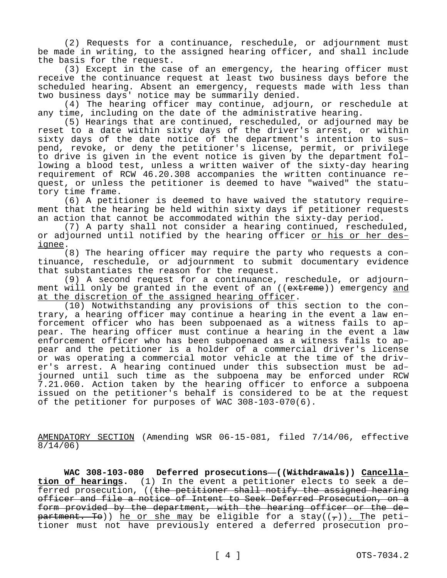(2) Requests for a continuance, reschedule, or adjournment must be made in writing, to the assigned hearing officer, and shall include the basis for the request.

(3) Except in the case of an emergency, the hearing officer must receive the continuance request at least two business days before the scheduled hearing. Absent an emergency, requests made with less than two business days' notice may be summarily denied.

(4) The hearing officer may continue, adjourn, or reschedule at any time, including on the date of the administrative hearing.

(5) Hearings that are continued, rescheduled, or adjourned may be reset to a date within sixty days of the driver's arrest, or within sixty days of the date notice of the department's intention to suspend, revoke, or deny the petitioner's license, permit, or privilege to drive is given in the event notice is given by the department following a blood test, unless a written waiver of the sixty-day hearing requirement of RCW 46.20.308 accompanies the written continuance request, or unless the petitioner is deemed to have "waived" the statutory time frame.

(6) A petitioner is deemed to have waived the statutory requirement that the hearing be held within sixty days if petitioner requests an action that cannot be accommodated within the sixty-day period.

(7) A party shall not consider a hearing continued, rescheduled, or adjourned until notified by the hearing officer or his or her designee.

(8) The hearing officer may require the party who requests a continuance, reschedule, or adjournment to submit documentary evidence that substantiates the reason for the request.

(9) A second request for a continuance, reschedule, or adjournment will only be granted in the event of an ((extreme)) emergency and at the discretion of the assigned hearing officer.

(10) Notwithstanding any provisions of this section to the contrary, a hearing officer may continue a hearing in the event a law enforcement officer who has been subpoenaed as a witness fails to appear. The hearing officer must continue a hearing in the event a law enforcement officer who has been subpoenaed as a witness fails to appear and the petitioner is a holder of a commercial driver's license or was operating a commercial motor vehicle at the time of the driver's arrest. A hearing continued under this subsection must be adjourned until such time as the subpoena may be enforced under RCW 7.21.060. Action taken by the hearing officer to enforce a subpoena issued on the petitioner's behalf is considered to be at the request of the petitioner for purposes of WAC 308-103-070(6).

AMENDATORY SECTION (Amending WSR 06-15-081, filed 7/14/06, effective 8/14/06)

**WAC 308-103-080 Deferred prosecutions—((Withdrawals)) Cancellation of hearings.** (1) In the event a petitioner elects to seek a deferred prosecution, ((the petitioner shall notify the assigned hearing officer and file a notice of Intent to Seek Deferred Prosecution, on a form provided by the department, with the hearing officer or the department. To)) he or she may be eligible for a stay( $(\tau)$ ). The petitioner must not have previously entered a deferred prosecution pro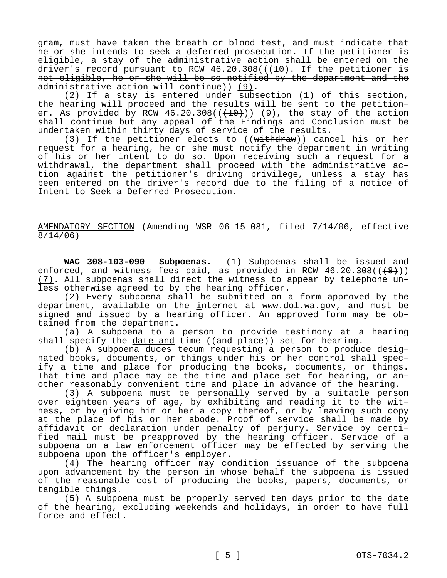gram, must have taken the breath or blood test, and must indicate that he or she intends to seek a deferred prosecution. If the petitioner is eligible, a stay of the administrative action shall be entered on the driver's record pursuant to RCW  $46.20.308$  ( $(410)$ . If the petitioner is not eligible, he or she will be so notified by the department and the administrative action will continue)) (9).

(2) If a stay is entered under subsection (1) of this section, the hearing will proceed and the results will be sent to the petitioner. As provided by RCW 46.20.308( $(\overline{(10)})$ ) (9), the stay of the action shall continue but any appeal of the Findings and Conclusion must be undertaken within thirty days of service of the results.

(3) If the petitioner elects to  $((with  $\frac{1}{100})$ ) cancel his or her$ request for a hearing, he or she must notify the department in writing of his or her intent to do so. Upon receiving such a request for a withdrawal, the department shall proceed with the administrative action against the petitioner's driving privilege, unless a stay has been entered on the driver's record due to the filing of a notice of Intent to Seek a Deferred Prosecution.

AMENDATORY SECTION (Amending WSR 06-15-081, filed 7/14/06, effective 8/14/06)

**WAC 308-103-090 Subpoenas.** (1) Subpoenas shall be issued and enforced, and witness fees paid, as provided in RCW  $46.20.308((\leftarrow{8})$ ) (7). All subpoenas shall direct the witness to appear by telephone unless otherwise agreed to by the hearing officer.

(2) Every subpoena shall be submitted on a form approved by the department, available on the internet at www.dol.wa.gov, and must be signed and issued by a hearing officer. An approved form may be obtained from the department.

(a) A subpoena to a person to provide testimony at a hearing shall specify the date and time  $((and$   $plane)$  set for hearing.

(b) A subpoena duces tecum requesting a person to produce designated books, documents, or things under his or her control shall specify a time and place for producing the books, documents, or things. That time and place may be the time and place set for hearing, or another reasonably convenient time and place in advance of the hearing.

(3) A subpoena must be personally served by a suitable person over eighteen years of age, by exhibiting and reading it to the witness, or by giving him or her a copy thereof, or by leaving such copy at the place of his or her abode. Proof of service shall be made by affidavit or declaration under penalty of perjury. Service by certified mail must be preapproved by the hearing officer. Service of a subpoena on a law enforcement officer may be effected by serving the subpoena upon the officer's employer.

(4) The hearing officer may condition issuance of the subpoena upon advancement by the person in whose behalf the subpoena is issued of the reasonable cost of producing the books, papers, documents, or tangible things.

(5) A subpoena must be properly served ten days prior to the date of the hearing, excluding weekends and holidays, in order to have full force and effect.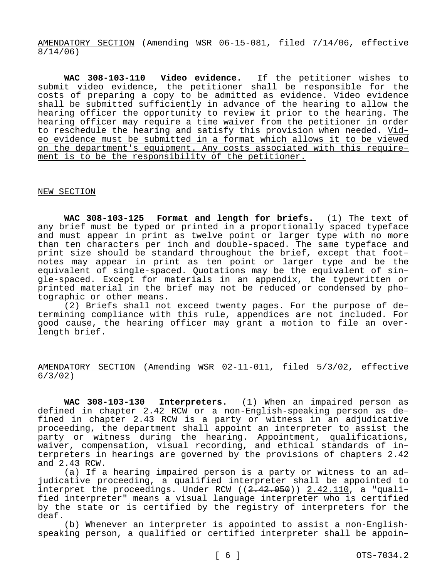AMENDATORY SECTION (Amending WSR 06-15-081, filed 7/14/06, effective 8/14/06)

**WAC 308-103-110 Video evidence.** If the petitioner wishes to submit video evidence, the petitioner shall be responsible for the costs of preparing a copy to be admitted as evidence. Video evidence shall be submitted sufficiently in advance of the hearing to allow the hearing officer the opportunity to review it prior to the hearing. The hearing officer may require a time waiver from the petitioner in order to reschedule the hearing and satisfy this provision when needed. Video evidence must be submitted in a format which allows it to be viewed on the department's equipment. Any costs associated with this requirement is to be the responsibility of the petitioner.

## NEW SECTION

**WAC 308-103-125 Format and length for briefs.** (1) The text of any brief must be typed or printed in a proportionally spaced typeface and must appear in print as twelve point or larger type with no more than ten characters per inch and double-spaced. The same typeface and print size should be standard throughout the brief, except that footnotes may appear in print as ten point or larger type and be the equivalent of single-spaced. Quotations may be the equivalent of single-spaced. Except for materials in an appendix, the typewritten or printed material in the brief may not be reduced or condensed by photographic or other means.

(2) Briefs shall not exceed twenty pages. For the purpose of determining compliance with this rule, appendices are not included. For good cause, the hearing officer may grant a motion to file an overlength brief.

AMENDATORY SECTION (Amending WSR 02-11-011, filed 5/3/02, effective 6/3/02)

**WAC 308-103-130 Interpreters.** (1) When an impaired person as defined in chapter 2.42 RCW or a non-English-speaking person as defined in chapter 2.43 RCW is a party or witness in an adjudicative proceeding, the department shall appoint an interpreter to assist the party or witness during the hearing. Appointment, qualifications, waiver, compensation, visual recording, and ethical standards of interpreters in hearings are governed by the provisions of chapters 2.42 and 2.43 RCW.

(a) If a hearing impaired person is a party or witness to an adjudicative proceeding, a qualified interpreter shall be appointed to interpret the proceedings. Under RCW  $((2.42.050))$   $(2.42.110)$ , a "qualified interpreter" means a visual language interpreter who is certified by the state or is certified by the registry of interpreters for the deaf.

(b) Whenever an interpreter is appointed to assist a non-Englishspeaking person, a qualified or certified interpreter shall be appoin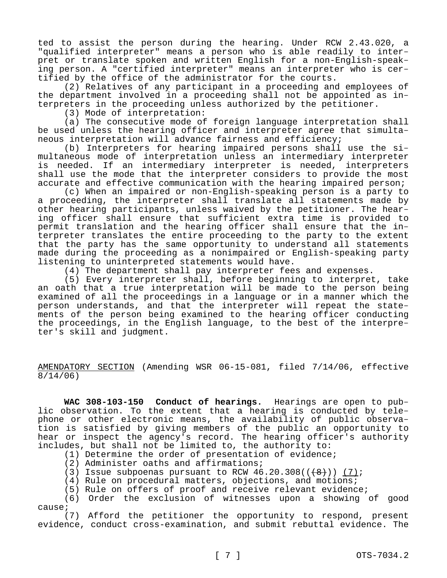ted to assist the person during the hearing. Under RCW 2.43.020, a "qualified interpreter" means a person who is able readily to interpret or translate spoken and written English for a non-English-speaking person. A "certified interpreter" means an interpreter who is certified by the office of the administrator for the courts.

(2) Relatives of any participant in a proceeding and employees of the department involved in a proceeding shall not be appointed as interpreters in the proceeding unless authorized by the petitioner.

(3) Mode of interpretation:

(a) The consecutive mode of foreign language interpretation shall be used unless the hearing officer and interpreter agree that simultaneous interpretation will advance fairness and efficiency;

(b) Interpreters for hearing impaired persons shall use the simultaneous mode of interpretation unless an intermediary interpreter is needed. If an intermediary interpreter is needed, interpreters shall use the mode that the interpreter considers to provide the most accurate and effective communication with the hearing impaired person;

(c) When an impaired or non-English-speaking person is a party to a proceeding, the interpreter shall translate all statements made by other hearing participants, unless waived by the petitioner. The hearing officer shall ensure that sufficient extra time is provided to permit translation and the hearing officer shall ensure that the interpreter translates the entire proceeding to the party to the extent that the party has the same opportunity to understand all statements made during the proceeding as a nonimpaired or English-speaking party listening to uninterpreted statements would have.

(4) The department shall pay interpreter fees and expenses.

(5) Every interpreter shall, before beginning to interpret, take an oath that a true interpretation will be made to the person being examined of all the proceedings in a language or in a manner which the person understands, and that the interpreter will repeat the statements of the person being examined to the hearing officer conducting the proceedings, in the English language, to the best of the interpreter's skill and judgment.

AMENDATORY SECTION (Amending WSR 06-15-081, filed 7/14/06, effective 8/14/06)

**WAC 308-103-150 Conduct of hearings.** Hearings are open to public observation. To the extent that a hearing is conducted by telephone or other electronic means, the availability of public observation is satisfied by giving members of the public an opportunity to hear or inspect the agency's record. The hearing officer's authority includes, but shall not be limited to, the authority to:

(1) Determine the order of presentation of evidence;

(2) Administer oaths and affirmations;

(3) Issue subpoenas pursuant to RCW  $46.20.308((\{8\}))(7);$ 

(4) Rule on procedural matters, objections, and motions;

(5) Rule on offers of proof and receive relevant evidence;

(6) Order the exclusion of witnesses upon a showing of good cause;

(7) Afford the petitioner the opportunity to respond, present evidence, conduct cross-examination, and submit rebuttal evidence. The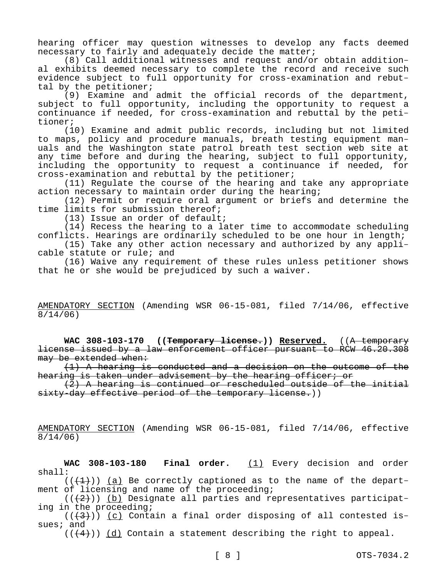hearing officer may question witnesses to develop any facts deemed necessary to fairly and adequately decide the matter;

(8) Call additional witnesses and request and/or obtain additional exhibits deemed necessary to complete the record and receive such evidence subject to full opportunity for cross-examination and rebuttal by the petitioner;

(9) Examine and admit the official records of the department, subject to full opportunity, including the opportunity to request a continuance if needed, for cross-examination and rebuttal by the petitioner;

(10) Examine and admit public records, including but not limited to maps, policy and procedure manuals, breath testing equipment manuals and the Washington state patrol breath test section web site at any time before and during the hearing, subject to full opportunity, including the opportunity to request a continuance if needed, for cross-examination and rebuttal by the petitioner;

(11) Regulate the course of the hearing and take any appropriate action necessary to maintain order during the hearing;

(12) Permit or require oral argument or briefs and determine the time limits for submission thereof;

(13) Issue an order of default;

(14) Recess the hearing to a later time to accommodate scheduling conflicts. Hearings are ordinarily scheduled to be one hour in length;

(15) Take any other action necessary and authorized by any applicable statute or rule; and

(16) Waive any requirement of these rules unless petitioner shows that he or she would be prejudiced by such a waiver.

## AMENDATORY SECTION (Amending WSR 06-15-081, filed 7/14/06, effective 8/14/06)

**WAC 308-103-170 ((Temporary license.)) Reserved.** ((A temporary license issued by a law enforcement officer pursuant to RCW 46.20.308 may be extended when:

(1) A hearing is conducted and a decision on the outcome of the hearing is taken under advisement by the hearing officer; or

(2) A hearing is continued or rescheduled outside of the initial sixty-day effective period of the temporary license.))

AMENDATORY SECTION (Amending WSR 06-15-081, filed 7/14/06, effective 8/14/06)

**WAC 308-103-180 Final order.** (1) Every decision and order shall:

 $((+1))$  (a) Be correctly captioned as to the name of the department of licensing and name of the proceeding;

 $((+2))$  (b) Designate all parties and representatives participating in the proceeding;

 $((+3))$  (c) Contain a final order disposing of all contested issues; and

 $((+4))$  (d) Contain a statement describing the right to appeal.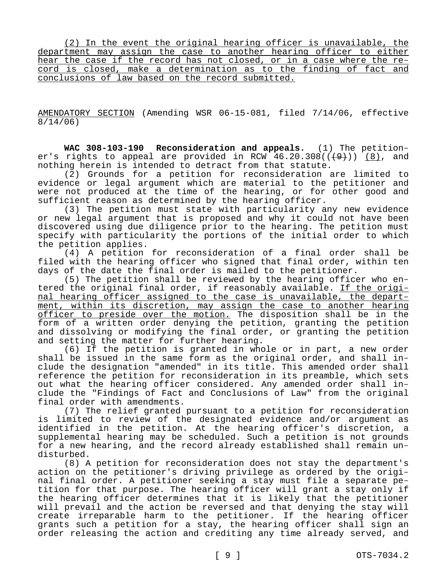(2) In the event the original hearing officer is unavailable, the department may assign the case to another hearing officer to either hear the case if the record has not closed, or in a case where the record is closed, make a determination as to the finding of fact and conclusions of law based on the record submitted.

AMENDATORY SECTION (Amending WSR 06-15-081, filed 7/14/06, effective 8/14/06)

**WAC 308-103-190 Reconsideration and appeals.** (1) The petitioner's rights to appeal are provided in RCW  $46.20.308((\frac{49}{1}))$  (8), and nothing herein is intended to detract from that statute.

(2) Grounds for a petition for reconsideration are limited to evidence or legal argument which are material to the petitioner and were not produced at the time of the hearing, or for other good and sufficient reason as determined by the hearing officer.

(3) The petition must state with particularity any new evidence or new legal argument that is proposed and why it could not have been discovered using due diligence prior to the hearing. The petition must specify with particularity the portions of the initial order to which the petition applies.

(4) A petition for reconsideration of a final order shall be filed with the hearing officer who signed that final order, within ten days of the date the final order is mailed to the petitioner.

(5) The petition shall be reviewed by the hearing officer who entered the original final order, if reasonably available. If the original hearing officer assigned to the case is unavailable, the department, within its discretion, may assign the case to another hearing officer to preside over the motion. The disposition shall be in the form of a written order denying the petition, granting the petition and dissolving or modifying the final order, or granting the petition and setting the matter for further hearing.

(6) If the petition is granted in whole or in part, a new order shall be issued in the same form as the original order, and shall include the designation "amended" in its title. This amended order shall reference the petition for reconsideration in its preamble, which sets out what the hearing officer considered. Any amended order shall include the "Findings of Fact and Conclusions of Law" from the original final order with amendments.

(7) The relief granted pursuant to a petition for reconsideration is limited to review of the designated evidence and/or argument as identified in the petition. At the hearing officer's discretion, a supplemental hearing may be scheduled. Such a petition is not grounds for a new hearing, and the record already established shall remain undisturbed.

(8) A petition for reconsideration does not stay the department's action on the petitioner's driving privilege as ordered by the original final order. A petitioner seeking a stay must file a separate petition for that purpose. The hearing officer will grant a stay only if the hearing officer determines that it is likely that the petitioner will prevail and the action be reversed and that denying the stay will create irreparable harm to the petitioner. If the hearing officer grants such a petition for a stay, the hearing officer shall sign an order releasing the action and crediting any time already served, and